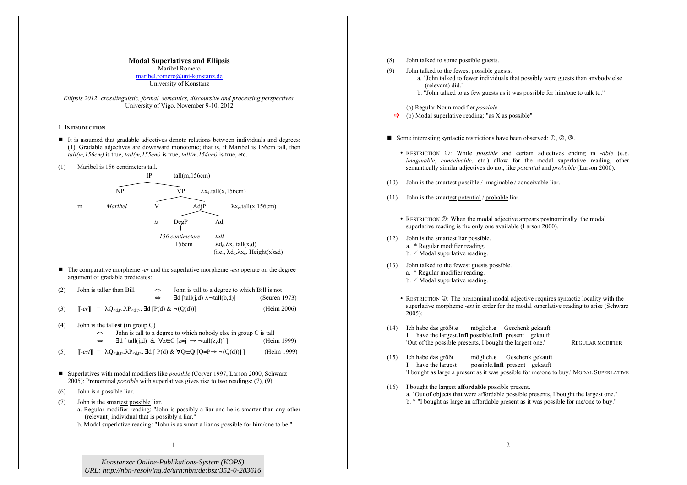# **Modal Superlatives and Ellipsis**

Maribel Romero maribel.romero@uni-konstanz.de University of Konstanz

*Ellipsis 2012 crosslinguistic, formal, semantics, discoursive and processing perspectives.* University of Vigo, November 9-10, 2012

## **1. INTRODUCTION**

- It is assumed that gradable adjectives denote relations between individuals and degrees: (1). Gradable adjectives are downward monotonic; that is, if Maribel is 156cm tall, then *tall(m,156cm)* is true, *tall(m,155cm)* is true, *tall(m,154cm)* is true, etc.
- (1) Maribel is 156 centimeters tall.



- The comparative morpheme *-er* and the superlative morpheme *-est* operate on the degree argument of gradable predicates:
- (2) John is tall**er** than Bill ⇔ John is tall to a degree to which Bill is not ⇔ ∃d [tall(j,d) ∧¬tall(b,d)] (Seuren 1973) (3)  $\left[\left\| \text{--}e\right\| \right] = \lambda Q_{\text{}. **Ed**  $\left[\text{P}(d) \& \neg (\text{Q}(d))\right]$  (Heim 2006)$
- (4) John is the tall**est** (in group C)
	- ⇔ John is tall to a degree to which nobody else in group C is tall
	- $\Leftrightarrow$  ∃d [ tall(j,d) &  $\forall z \in C$  [ $z \neq j \rightarrow \neg$  tall(z,d)] ] (Heim 1999)
- (5)  $\left[\left[-est\right]\right] = \lambda \mathbf{Q}_{\leq d} \leq \lambda P_{\leq d} \geq \exists d \left[\left[P(d) \& \forall O \in \mathbf{O} \mid Q \neq P \rightarrow \neg (O(d))\right]\right]$  (Heim 1999)
- Superlatives with modal modifiers like *possible* (Corver 1997, Larson 2000, Schwarz 2005): Prenominal *possible* with superlatives gives rise to two readings: (7), (9).
- (6) John is a possible liar.
- (7) John is the smartest possible liar. a. Regular modifier reading: "John is possibly a liar and he is smarter than any other (relevant) individual that is possibly a liar."
	- b. Modal superlative reading: "John is as smart a liar as possible for him/one to be."

(8) John talked to some possible guests. (9) John talked to the fewest possible guests. a. "John talked to fewer individuals that possibly were guests than anybody else (relevant) did." b. "John talked to as few guests as it was possible for him/one to talk to." (a) Regular Noun modifier *possible*  $\Rightarrow$  (b) Modal superlative reading: "as X as possible" Some interesting syntactic restrictions have been observed:  $\mathbb{O}, \mathbb{O}, \mathbb{O}, \mathbb{O}$ . • RESTRICTION  $\odot$ : While *possible* and certain adjectives ending in *-able* (e.g. *imaginable*, *conceivable*, etc.) allow for the modal superlative reading, other semantically similar adjectives do not, like *potential* and *probable* (Larson 2000). (10) John is the smartest possible / imaginable / conceivable liar. (11) John is the smartest potential / probable liar. • RESTRICTION ②: When the modal adjective appears postnominally, the modal superlative reading is the only one available (Larson 2000). (12) John is the smartest liar possible. a. \* Regular modifier reading.  $b.$   $\checkmark$  Modal superlative reading. (13) John talked to the fewest guests possible. a. \* Regular modifier reading.  $b.$   $\checkmark$  Modal superlative reading. • RESTRICTION **3**: The prenominal modal adjective requires syntactic locality with the superlative morpheme -*est* in order for the modal superlative reading to arise (Schwarz  $2005$ : (14) Ich habe das größt.**e** möglich.**e** Geschenk gekauft. I have the largest.**Infl** possible.**Infl** present gekauft 'Out of the possible presents, I bought the largest one.' REGULAR MODIFIER (15) Ich habe das größt möglich.**e** Geschenk gekauft. I have the largest possible.**Infl** present gekauft 'I bought as large a present as it was possible for me/one to buy.' MODAL SUPERLATIVE (16) I bought the largest **affordable** possible present. a. "Out of objects that were affordable possible presents, I bought the largest one." b. \* "I bought as large an affordable present as it was possible for me/one to buy."

*Konstanzer Online-Publikations-System (KOPS) URL[: http://nbn-resolving.de/urn:nbn:de:bsz:352-0-283616](http://nbn-resolving.de/urn:nbn:de:bsz:352-0-283616)*

1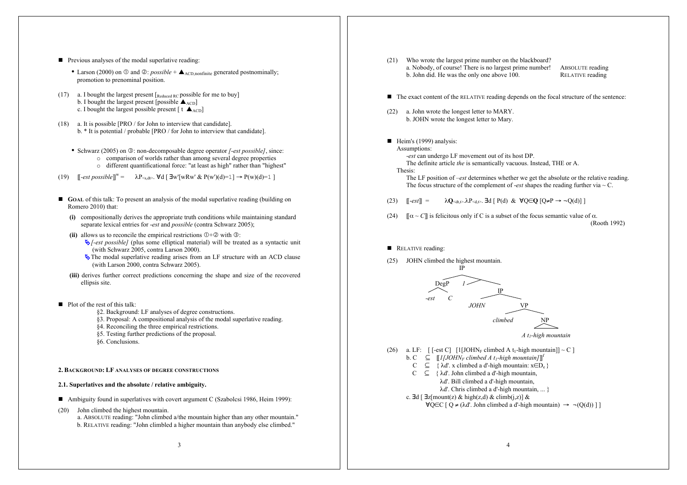- **Previous analyses of the modal superlative reading:** 
	- Larson (2000) on  $\mathbb{O}$  and  $\mathbb{Q}$ : *possible* +  $\blacktriangle$  <sub>ACD,nonfinite</sub> generated postnominally; promotion to prenominal position.
- (17) a. I bought the largest present  $\lceil_{\text{Reduced RC}}\rceil$  possible for me to buy] b. I bought the largest present [possible  $\triangle$ <sub>ACD</sub>] c. I bought the largest possible present  $[t \triangle_{ACD}]$
- (18) a. It is possible [PRO / for John to interview that candidate]. b. \* It is potential / probable [PRO / for John to interview that candidate].
	- Schwarz (2005) on  $\circled{3}$ : non-decomposable degree operator *[-est possible]*, since: o comparison of worlds rather than among several degree properties o different quantificational force: "at least as high" rather than "highest"
- (19)  $[[-est possible]]^w = \lambda P_{\leq s, dt>}$ . ∀d  $[∃w'[wRw' & P(w')(d)=1] → P(w)(d)=1]$
- **GOAL** of this talk: To present an analysis of the modal superlative reading (building on Romero 2010) that:
	- **(i)** compositionally derives the appropriate truth conditions while maintaining standard separate lexical entries for -*est* and *possible* (contra Schwarz 2005);
	- (ii) allows us to reconcile the empirical restrictions  $\mathbb{O} + \mathbb{O}$  with  $\mathbb{O}$ :
		- $\bigtriangledown$ -*est possible]* (plus some elliptical material) will be treated as a syntactic unit (with Schwarz 2005, contra Larson 2000).
		- The modal superlative reading arises from an LF structure with an ACD clause (with Larson 2000, contra Schwarz 2005).
	- **(iii)** derives further correct predictions concerning the shape and size of the recovered ellipsis site.
- $\blacksquare$  Plot of the rest of this talk:
	- §2. Background: LF analyses of degree constructions.
	- §3. Proposal: A compositional analysis of the modal superlative reading.
	- §4. Reconciling the three empirical restrictions.
	- §5. Testing further predictions of the proposal.
	- §6. Conclusions.
- **2. BACKGROUND: LF ANALYSES OF DEGREE CONSTRUCTIONS**
- **2.1. Superlatives and the absolute / relative ambiguity.**
- Ambiguity found in superlatives with covert argument C (Szabolcsi 1986, Heim 1999):
- (20) John climbed the highest mountain. a. ABSOLUTE reading: "John climbed a/the mountain higher than any other mountain." b. RELATIVE reading: "John climbled a higher mountain than anybody else climbed."
- (21) Who wrote the largest prime number on the blackboard? a. Nobody, of course! There is no largest prime number! ABSOLUTE reading b. John did. He was the only one above 100. RELATIVE reading b. John did. He was the only one above  $100$ .
- The exact content of the RELATIVE reading depends on the focal structure of the sentence:
- (22) a. John wrote the longest letter to MARY. b. JOHN wrote the longest letter to Mary.
- $\blacksquare$  Heim's (1999) analysis:

Assumptions: -*est* can undergo LF movement out of its host DP. The definite article *the* is semantically vacuous. Instead, THE or A.

# Thesis:

The LF position of –*est* determines whether we get the absolute or the relative reading. The focus structure of the complement of *-est* shapes the reading further via  $\sim$  C.

- (23)  $\left[\begin{array}{cc} -e^{ct} \end{array}\right] = \lambda \mathbf{Q}_{\leq d+1} \lambda P_{\leq d+2}$ . **Ed**  $\left[\begin{array}{cc} P(d) & \& \forall Q \in \mathbf{Q} \end{array}\right] Q \neq P \rightarrow \neg Q(d)$
- (24)  $[\![\alpha \sim C]\!]$  is felicitous only if C is a subset of the focus semantic value of  $\alpha$ . (Rooth 1992)
- RELATIVE reading:
- (25) JOHN climbed the highest mountain.



*A t1-high mountain*

- (26) a. LF:  $\left[ \left[ \text{--} \right[ \text{--} \left[ \text{--} \right[ 1] \text{J} \text{OH} \text{N}_F \text{--} \left[ \text{--} \right[ \text{--} \left[ \text{--} \right[ \text{--} \left[ \text{--} \right[ \text{--} \left[ \text{--} \right[ \text{--} \left[ \text{--} \right[ \text{--} \left[ \text{--} \right[ \text{--} \left[ \text{--} \right[ \left[ \text{--} \right[ \left[ \text{--} \right[ \left[ \text{--} \right[ \left[ \text{--} \right[ \left[$ 
	- b. C  $\subseteq$   $\llbracket$  *I*[*JOHN<sub>F</sub> climbed A t<sub>1</sub>-high mountain*]]<sup>*f*</sup>
	- $C \subseteq \{ \lambda d'. x \text{ climbed a } d'$ -high mountain:  $x \in D_e \}$
	- $C \subseteq \{ \lambda d'.$  John climbed a d'-high mountain,
	- λd'. Bill climbed a d'-high mountain, λd'. Chris climbed a d'-high mountain, ... }
	- c. ∃d [  $\exists z \text{[mount(z) \& high(z,d) \& climb(j,z)] \& }$ 
		-
		- $\forall$ O∈C [ Q ≠ ( $\lambda$ d'. John climbed a d'-high mountain) → ¬(O(d)) ] ]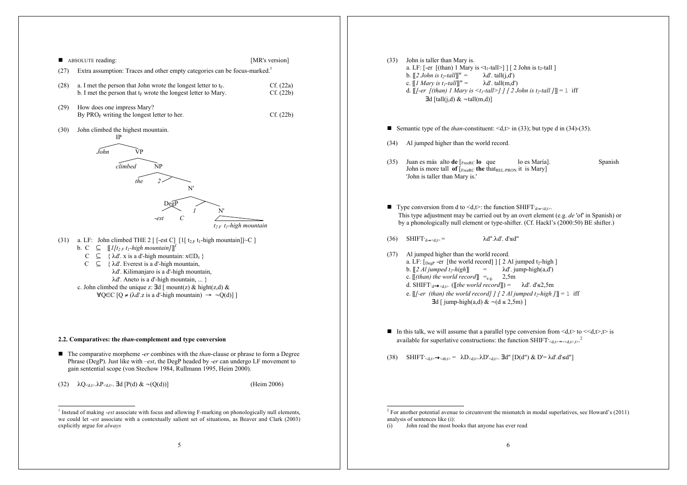

 <sup>1</sup> Instead of making -*est* associate with focus and allowing F-marking on phonologically null elements, we could let -*est* associate with a contextually salient set of situations, as Beaver and Clark (2003) explicitly argue for *always*

- (33) John is taller than Mary is. a. LF:  $[-er$   $[(than) 1$  Mary is  $\leq t_1$ -tall  $]$   $[2]$  John is t<sub>2</sub>-tall ] b.  $\llbracket 2 \text{ John is } t_2$ -tall $\llbracket \rrbracket^w =$  $\lambda$ d'. tall(j,d') c.  $\llbracket$ *l Mary is t<sub>1</sub>-tall* $\rrbracket^w =$  $\lambda$ d'. tall(m,d') d.  $\llbracket f-er \rrbracket$  *(than) 1 Mary is <t<sub>1</sub>-tall>] 1 [ 2 John is t<sub>2</sub>-tall <i>]* $\llbracket$  = 1 iff  $\exists d$  [tall(j,d) &  $\neg$ tall(m,d)]
- Semantic type of the *than*-constituent:  $\langle d, t \rangle$  in (33); but type d in (34)-(35).
- (34) Al jumped higher than the world record.
- (35) Juan es más alto **de** [FreeRC **lo** que lo es María]. Spanish John is more tall **of** [FreeRC **the** thatREL-PRON it is Mary] 'John is taller than Mary is.'
- Type conversion from d to <d,t>: the function SHIFT d→<d,t>. This type adjustment may be carried out by an overt element (e.g. *de* 'of' in Spanish) or by a phonologically null element or type-shifter. (Cf. Hackl's (2000:50) BE shifter.)
- $(36)$  SHIFT<sup>s</sup><sub>d→sdt</sub> = λd".λd'. d'≤d"
- (37) Al jumped higher than the world record. a. LF:  $[DegP - er [the world record] ] [ 2 Al jumped t<sub>2</sub>-high ]$ b.  $\llbracket 2 \text{ Al } \text{immed } t \cdot \text{hi} \cdot \text{hi} \cdot \text{hi} \cdot \text{hi} \cdot \text{hi} \cdot \text{hi} \cdot \text{hi} \cdot \text{hi} \cdot \text{hi} \cdot \text{hi} \cdot \text{hi} \cdot \text{hi} \cdot \text{hi} \cdot \text{hi} \cdot \text{hi} \cdot \text{hi} \cdot \text{hi} \cdot \text{hi} \cdot \text{hi} \cdot \text{hi} \cdot \text{hi} \cdot \text{hi} \cdot \text{hi} \cdot \text{hi} \cdot \text{hi} \cdot \text{hi} \cdot \text{hi} \cdot \text{hi} \cdot \$ c.  $[(than)$  the world record $] =_{e.g.} 2,5m$ d. SHIFT<sup>↓</sup> <sup>d</sup><d,t> ([[*the world record*]]) = λd'. d'≤2,5m e.  $[$ [*[-er (than) the world record]*  $]$  [ 2 Al jumped t<sub>2</sub>-high ]] = 1 iff  $\exists d \, \lceil \, \text{jump-high}(a,d) \, \& \, \neg(d \leq 2.5m) \, \rceil$
- In this talk, we will assume that a parallel type conversion from  $\langle d, t \rangle$  to  $\langle d, t \rangle$ ,  $\langle t \rangle$  is available for superlative constructions: the function SHIFT<sup>-</sup><d,t> +<<d,t>.

(38) SHIFT'<d,t>→<dt,t> =  $\lambda D$ <d,t>. $\lambda D'$ <d,t>. ∃d" [D(d") & D'= $\lambda d'.d'$ ≤d"]

 $2^2$  For another potential avenue to circumvent the mismatch in modal superlatives, see Howard's (2011) analysis of sentences like (i):

<sup>(</sup>i) John read the most books that anyone has ever read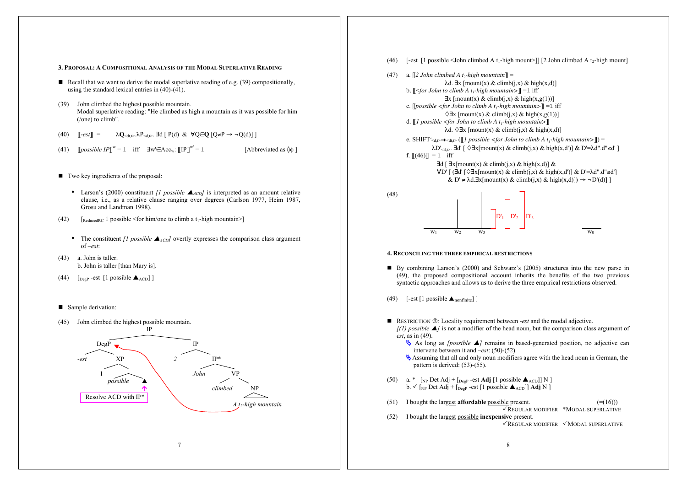#### **3. PROPOSAL: A COMPOSITIONAL ANALYSIS OF THE MODAL SUPERLATIVE READING**

- Recall that we want to derive the modal superlative reading of e.g.  $(39)$  compositionally, using the standard lexical entries in  $(40)-(41)$ .
- (39) John climbed the highest possible mountain. Modal superlative reading: "He climbed as high a mountain as it was possible for him (/one) to climb".
- (40)  $\left[\begin{array}{cc} -e^{gt} & \lambda Q_{\leq d,t} \\ \lambda Q_{\leq d,t} & \lambda P_{\leq d,t} \end{array}\right]$ . **Ed**  $\left[\begin{array}{cc} P(d) & \& \forall Q \in Q \end{array}\right]$   $\left[\begin{array}{cc} Q \neq P \rightarrow \neg Q(d) \\ \lambda Q_{\leq d,t} & \lambda P_{\leq d,t} \end{array}\right]$
- (41)  $[p \text{ } \text{ } [possuble IP]]^{\text{w}} = 1$  iff  $\exists \text{ } \text{ } w \in Acc_{\text{w}}: [[IP]]$ [Abbreviated as  $\Diamond\phi$ ]
- Two key ingredients of the proposal:
	- Larson's (2000) constituent *[1 possible*  $\triangle_{ACD}$ *]* is interpreted as an amount relative clause, i.e., as a relative clause ranging over degrees (Carlson 1977, Heim 1987, Grosu and Landman 1998).
- (42)  $\left[$ ReducedRC 1 possible <for him/one to climb a t<sub>1</sub>-high mountain>]
	- The constituent *[1 possible*  $\blacktriangle$ <sub>*ACD</sub>]* overtly expresses the comparison class argument</sub> of –*est*:
- (43) a. John is taller. b. John is taller [than Mary is].
- (44)  $\left[$   $\left[$   $\right]$   $\left[$   $\right]$   $\left[$   $\right]$   $\left[$   $\right]$   $\left[$   $\right]$   $\left[$   $\left[$   $\right]$   $\left[$   $\right]$   $\left[$   $\right]$   $\left[$   $\right]$   $\left[$   $\left[$   $\right]$   $\left[$   $\right]$   $\left[$   $\right]$   $\left[$   $\left[$   $\right]$   $\left[$   $\right]$   $\left[$   $\left[$   $\right]$   $\left[$

#### Sample derivation:







- By combining Larson's (2000) and Schwarz's (2005) structures into the new parse in (49), the proposed compositional account inherits the benefits of the two previous syntactic approaches and allows us to derive the three empirical restrictions observed.
- (49) [-est  $[1$  possible  $\blacktriangle_{nonfinite}$ ]
- RESTRICTION **③**: Locality requirement between -*est* and the modal adjective.  $f(1)$  possible  $\blacktriangle$  is not a modifier of the head noun, but the comparison class argument of *est*, as in (49).
	- As long as *[possible ]* remains in based-generated position, no adjective can intervene between it and –*est*: (50)-(52).
	- Assuming that all and only noun modifiers agree with the head noun in German, the pattern is derived: (53)-(55).
- (50) a. \*  $\left[\text{NP Det Adj} + \text{[DegP est Adj} \left[1 \text{ possible } \triangle_{ACD}\right]\right] \text{N} \right]$  $b. \checkmark$  [NP Det Adj + [DegP -est [1 possible  $\blacktriangle$ ACD]] **Adj** N ]
- (51) I bought the largest **affordable** possible present.  $(=(16))$ REGULAR MODIFIER \*MODAL SUPERLATIVE (52) I bought the largest possible **inexpensive** present.  $\sqrt{R}$ EGULAR MODIFIER  $\sqrt{M}$ ODAL SUPERLATIVE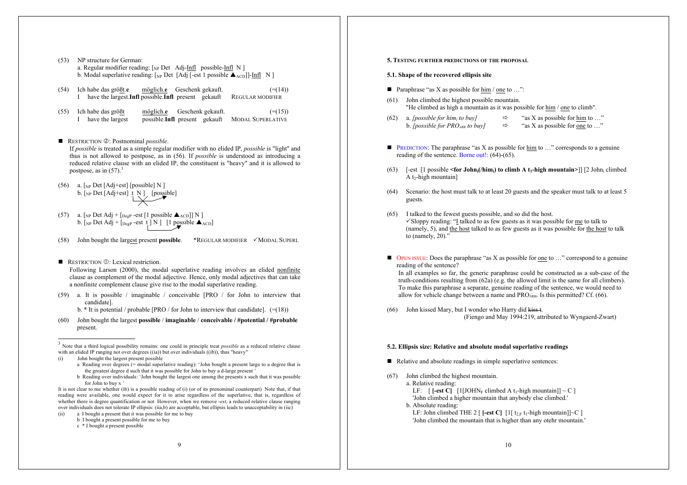- (53) NP structure for German: a. Regular modifier reading:  $\lceil_{NP} Det \rceil$  Adj-Infl possible-Infl N ] b. Modal superlative reading:  $\lceil_{NP}$  Det [Adj [-est 1 possible  $\blacktriangle_{ACD}$ ]]-Infl N ]
- (54) Ich habe das größt.**e** möglich.**e** Geschenk gekauft. (=(14)) I have the largest.**Infl** possible.**Infl** present gekauft REGULAR MODIFIER
- (55) Ich habe das größt möglich.**e** Geschenk gekauft. (=(15)) I have the largest possible.**Infl** present gekauft MODAL SUPERLATIVE
- RESTRICTION 2: Postnominal *possible*.

If *possible* is treated as a simple regular modifier with no elided IP, *possible* is "light" and thus is not allowed to postpose, as in (56). If *possible* is understood as introducing a reduced relative clause with an elided IP, the constituent is "heavy" and it is allowed to postpose, as in  $(57)$ .<sup>3</sup>

- (56) a.  $\lceil NP \text{ Det } [Adj + est] [possible] N \rceil$ b.  $[NP \text{ Det } [\text{Adj} + \text{est}] \mid N]$  [possible]
- (57) a.  $\left[\text{NP Det Adj} + \text{[DegP-est [1 possible } \triangle_{\text{ACD}}\text{]} \right] \text{N}$ b.  $\left[\text{NP Det Adj} + \text{[DegP - est t]} N\right]$  [1 possible  $\triangle$ <sub>ACD</sub>]
- (58) John bought the largest present **possible.** \*REGULAR MODIFIER  $\checkmark$  MODAL SUPERL

## RESTRICTION  $\mathbb{O}$ : Lexical restriction.

Following Larson (2000), the modal superlative reading involves an elided nonfinite clause as complement of the modal adjective. Hence, only modal adjectives that can take a nonfinite complement clause give rise to the modal superlative reading.

- (59) a. It is possible / imaginable / conceivable [PRO / for John to interview that candidate].
	- b.  $*$  It is potential / probable [PRO / for John to interview that candidate].  $(=(18))$
- (60) John bought the largest **possible** / **imaginable** / **conceivable / #potential / #probable** present.

 3 Note that a third logical possibility remains: one could in principle treat *possible* as a reduced relative clause with an elided IP ranging not over degrees  $((\text{ia}))$  but over individuals  $((\text{ib}))$ , thus "heavy"

- John bought the largest present possible
	- a Reading over degrees (= modal superlative reading): 'John bought a present large to a degree that is the greatest degree d such that it was possible for John to buy a d-large present '
	- b Reading over individuals: 'John bought the largest one among the presents x such that it was possible for John to buy x '

It is not clear to me whether (ib) is a possible reading of (i) (or of its prenominal counterpart) Note that, if that reading were available, one would expect for it to arise regardless of the superlative, that is, regardless of whether there is degree quantification or not However, when we remove -*est*, a reduced relative clause ranging over individuals does not tolerate IP ellipsis: (iia,b) are acceptable, but ellipsis leads to unacceptability in (iic)

- a I bought a present that it was possible for me to buy
- b I bought a present possible for me to buy c \* I bought a present possible
- 

# **5. TESTING FURTHER PREDICTIONS OF THE PROPOSAL**

## **5.1. Shape of the recovered ellipsis site**

- **Paraphrase "as X as possible for him / one to ...":**
- (61) John climbed the highest possible mountain. "He climbed as high a mountain as it was possible for him / one to climb".
- (62) a. *[possible for him<sub>i</sub>* to *buy]*  $\Rightarrow$  "as X as possible for him to ..." b. *[possible for PRO<sub>ARB</sub> to buy]*  $\Rightarrow$  "as X as possible for one to ..."
- **PREDICTION:** The paraphrase "as X as possible for him to  $\ldots$ " corresponds to a genuine reading of the sentence. Borne out!: (64)-(65).
- (63) [-est [1 possible **<for Johni(/himi) to climb A t1-high mountain>**]] [2 Johni climbed A t<sub>2</sub>-high mountain]
- (64) Scenario: the host must talk to at least 20 guests and the speaker must talk to at least 5 guests.
- (65) I talked to the fewest guests possible, and so did the host.  $\checkmark$ Sloppy reading: "I talked to as few guests as it was possible for me to talk to (namely, 5), and the host talked to as few guests as it was possible for the host to talk to (namely, 20)."
- $\blacksquare$  OPEN ISSUE: Does the paraphrase "as X as possible for one to ..." correspond to a genuine reading of the sentence?

In all examples so far, the generic paraphrase could be constructed as a sub-case of the truth-conditions resulting from  $(62a)$  (e.g. the allowed limit is the same for all climbers). To make this paraphrase a separate, genuine reading of the sentence, we would need to allow for vehicle change between a name and  $PRO_{APB}$ . Is this permitted? Cf. (66).

(66) John kissed Mary, but I wonder who Harry did kiss t. (Fiengo and May 1994:219, attributed to Wyngaerd-Zwart)

#### **5.2. Ellipsis size: Relative and absolute modal superlative readings**

- Relative and absolute readings in simple superlative sentences:
- (67) John climbed the highest mountain.

a. Relative reading:

LF:  $\begin{bmatrix} \text{I-est C} \\ \text{I} \end{bmatrix}$  [1[JOHN<sub>F</sub> climbed A t<sub>1</sub>-high mountain]] ~ C ] 'John climbed a higher mountain that anybody else climbed.'

b. Absolute reading:

LF: John climbed THE 2  $\lceil$  **[-est C]**  $\lceil$  1 $\lceil$  t<sub>2,F</sub> t<sub>1</sub>-high mountain] $\lceil$  ~C  $\rceil$ 'John climbed the mountain that is higher than any otehr mountain.'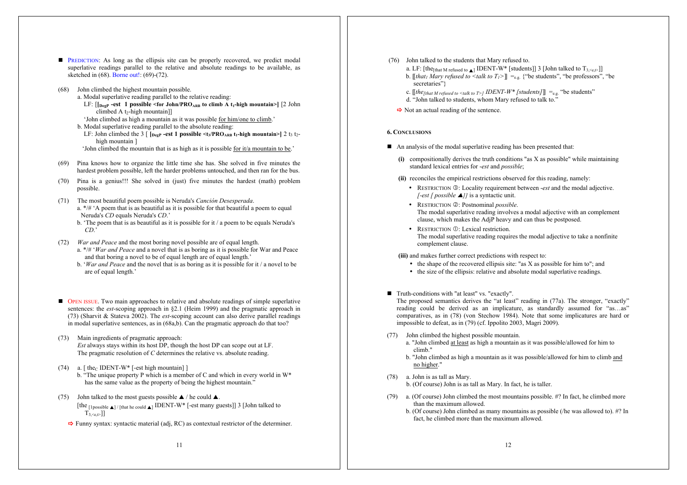- **PREDICTION:** As long as the ellipsis site can be properly recovered, we predict modal superlative readings parallel to the relative and absolute readings to be available, as sketched in (68). Borne out!: (69)-(72).
- (68) John climbed the highest mountain possible.
	- a. Modal superlative reading parallel to the relative reading:
	- LF:  $[\lfloor \log P \rfloor]$  **-est 1 possible <for John/PROARB** to climb A t<sub>1</sub>-high mountain>] [2 John  $climbed A t<sub>2</sub>-high mountain$ ]]
	- 'John climbed as high a mountain as it was possible for him/one to climb.' b. Modal superlative reading parallel to the absolute reading:
	- LF: John climbed the 3  $\lceil \int_{\text{Deep}}$  **-est 1 possible <t**<sub>3</sub>/PRO<sub>ARB</sub> **t<sub>1</sub>-high mountain>**  $\lceil 2 \t{t_3 \t{t_2}} \rceil$ high mountain ]
	- 'John climbed the mountain that is as high as it is possible for it/a mountain to be.'
- (69) Pina knows how to organize the little time she has. She solved in five minutes the hardest problem possible, left the harder problems untouched, and then ran for the bus.
- (70) Pina is a genius!!! She solved in (just) five minutes the hardest (math) problem possible.
- (71) The most beautiful poem possible is Neruda's *Canción Desesperada*. a. \*/# 'A poem that is as beautiful as it is possible for that beautiful a poem to equal Neruda's *CD* equals Neruda's *CD*.'
	- b. 'The poem that is as beautiful as it is possible for it / a poem to be equals Neruda's *CD*.'
- (72) *War and Peace* and the most boring novel possible are of equal length.
	- a. \*/# '*War and Peace* and a novel that is as boring as it is possible for War and Peace and that boring a novel to be of equal length are of equal length.'
	- b. '*War and Peace* and the novel that is as boring as it is possible for it / a novel to be are of equal length.'
- OPEN ISSUE. Two main approaches to relative and absolute readings of simple superlative sentences: the *est*-scoping approach in §2.1 (Heim 1999) and the pragmatic approach in (73) (Sharvit & Stateva 2002). The *est*-scoping account can also derive parallel readings in modal superlative sentences, as in (68a,b). Can the pragmatic approach do that too?
- (73) Main ingredients of pragmatic approach: *Est* always stays within its host DP, though the host DP can scope out at LF. The pragmatic resolution of *C* determines the relative vs. absolute reading.
- (74) a.  $\lceil \text{the}_C \text{ IDENT-W*} \rceil$ -est high mountain $\lceil \text{]}$ 
	- b. "The unique property P which is a member of C and which in every world in W\* has the same value as the property of being the highest mountain."
- (75) John talked to the most guests possible  $\blacktriangle$  / he could  $\blacktriangle$ . [the [1possible  $\triangle$ ] / [that he could  $\triangle$ ] IDENT-W\* [-est many guests]] 3 [John talked to  $T_{3,\leq e,t}$ ]]
	- $\Rightarrow$  Funny syntax: syntactic material (adj, RC) as contextual restrictor of the determiner.

(76) John talked to the students that Mary refused to.

a. LF: [the<sub>[that M refused to  $\triangle$ ]</sub> IDENT-W\* [students]] 3 [John talked to  $T_{3 \le e, t>1}$ ] b. [[*that<sub>1</sub> Mary refused to <talk to T<sub>1</sub>>*]] =<sub>e.g.</sub> {"be students", "be professors", "be secretaries"?

c.  $[$ [*the*[*that M refused to <talk to T>]</sub>*  $IDENT-W^*$  *[students]]] = e.g. "be students"* d. "John talked to students, whom Mary refused to talk to."

 $\Rightarrow$  Not an actual reading of the sentence.

# **6. CONCLUSIONS**

- An analysis of the modal superlative reading has been presented that:
	- **(i)** compositionally derives the truth conditions "as X as possible" while maintaining standard lexical entries for -*est* and *possible*;
	- **(ii)** reconciles the empirical restrictions observed for this reading, namely:
		- RESTRICTION **©**: Locality requirement between *-est* and the modal adjective. *[-est [ possible* **△***]]* is a syntactic unit.
		- RESTRICTION 2: Postnominal *possible*. The modal superlative reading involves a modal adjective with an complement clause, which makes the AdjP heavy and can thus be postposed.
		- RESTRICTION  $\mathbb{O}$ : Lexical restriction. The modal superlative reading requires the modal adjective to take a nonfinite complement clause.

**(iii)** and makes further correct predictions with respect to:

- the shape of the recovered ellipsis site: "as X as possible for him to"; and
- the size of the ellipsis: relative and absolute modal superlative readings.
- Truth-conditions with "at least" vs. "exactly".

The proposed semantics derives the "at least" reading in (77a). The stronger, "exactly" reading could be derived as an implicature, as standardly assumed for "as…as" comparatives, as in (78) (von Stechow 1984). Note that some implicatures are hard or impossible to defeat, as in (79) (cf. Ippolito 2003, Magri 2009).

- (77) John climbed the highest possible mountain.
	- a. "John climbed at least as high a mountain as it was possible/allowed for him to climb."
	- b. "John climbed as high a mountain as it was possible/allowed for him to climb and no higher."
- (78) a. John is as tall as Mary.

b. (Of course) John is as tall as Mary. In fact, he is taller.

- (79) a. (Of course) John climbed the most mountains possible. #? In fact, he climbed more than the maximum allowed.
	- b. (Of course) John climbed as many mountains as possible (/he was allowed to). #? In fact, he climbed more than the maximum allowed.